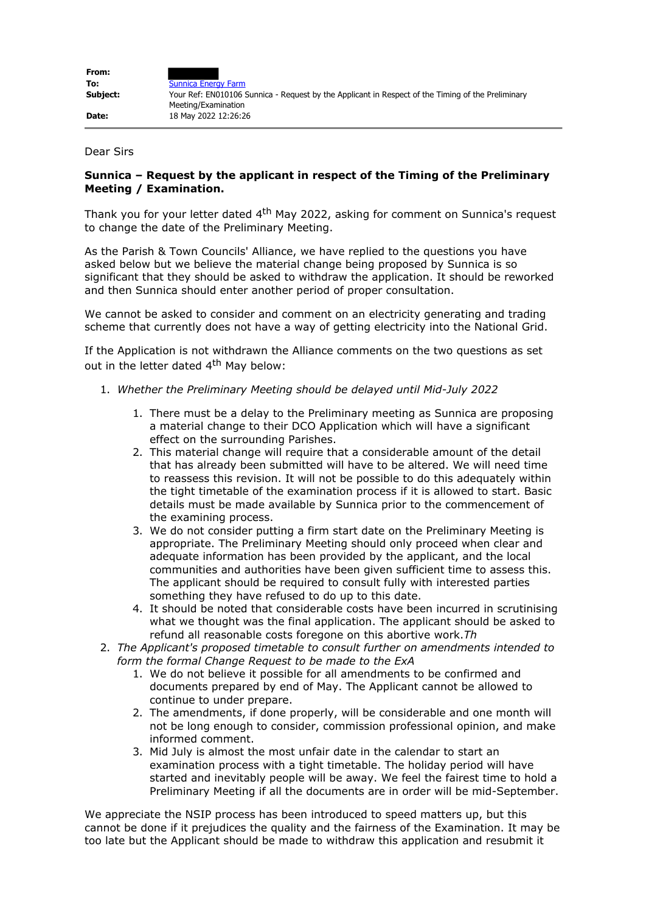| From:    |                                                                                                                          |
|----------|--------------------------------------------------------------------------------------------------------------------------|
| To:      | <b>Sunnica Energy Farm</b>                                                                                               |
| Subject: | Your Ref: EN010106 Sunnica - Reguest by the Applicant in Respect of the Timing of the Preliminary<br>Meeting/Examination |
| Date:    | 18 May 2022 12:26:26                                                                                                     |

Dear Sirs

## **Sunnica – Request by the applicant in respect of the Timing of the Preliminary Meeting / Examination.**

Thank you for your letter dated 4<sup>th</sup> May 2022, asking for comment on Sunnica's request to change the date of the Preliminary Meeting.

As the Parish & Town Councils' Alliance, we have replied to the questions you have asked below but we believe the material change being proposed by Sunnica is so significant that they should be asked to withdraw the application. It should be reworked and then Sunnica should enter another period of proper consultation.

We cannot be asked to consider and comment on an electricity generating and trading scheme that currently does not have a way of getting electricity into the National Grid.

If the Application is not withdrawn the Alliance comments on the two questions as set out in the letter dated  $4<sup>th</sup>$  May below:

- 1. *Whether the Preliminary Meeting should be delayed until Mid-July 2022*
	- 1. There must be a delay to the Preliminary meeting as Sunnica are proposing a material change to their DCO Application which will have a significant effect on the surrounding Parishes.
	- 2. This material change will require that a considerable amount of the detail that has already been submitted will have to be altered. We will need time to reassess this revision. It will not be possible to do this adequately within the tight timetable of the examination process if it is allowed to start. Basic details must be made available by Sunnica prior to the commencement of the examining process.
	- 3. We do not consider putting a firm start date on the Preliminary Meeting is appropriate. The Preliminary Meeting should only proceed when clear and adequate information has been provided by the applicant, and the local communities and authorities have been given sufficient time to assess this. The applicant should be required to consult fully with interested parties something they have refused to do up to this date.
	- 4. It should be noted that considerable costs have been incurred in scrutinising what we thought was the final application. The applicant should be asked to refund all reasonable costs foregone on this abortive work.*Th*
- 2. *The Applicant's proposed timetable to consult further on amendments intended to form the formal Change Request to be made to the ExA*
	- 1. We do not believe it possible for all amendments to be confirmed and documents prepared by end of May. The Applicant cannot be allowed to continue to under prepare.
	- 2. The amendments, if done properly, will be considerable and one month will not be long enough to consider, commission professional opinion, and make informed comment.
	- 3. Mid July is almost the most unfair date in the calendar to start an examination process with a tight timetable. The holiday period will have started and inevitably people will be away. We feel the fairest time to hold a Preliminary Meeting if all the documents are in order will be mid-September.

We appreciate the NSIP process has been introduced to speed matters up, but this cannot be done if it prejudices the quality and the fairness of the Examination. It may be too late but the Applicant should be made to withdraw this application and resubmit it